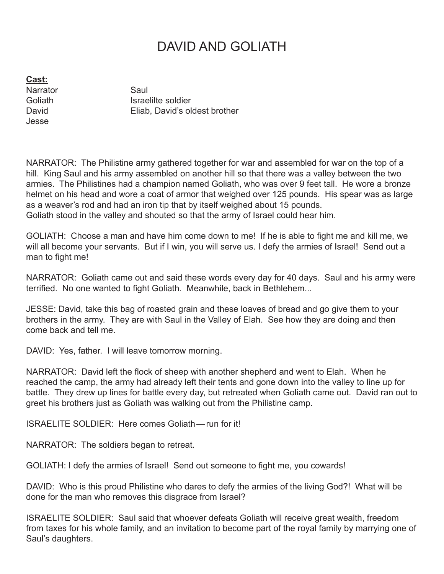## DAVID AND GOLIATH

**Cast:**

Narrator Saul Jesse

Goliath Israelilte soldier David **Eliab, David's oldest brother** 

NARRATOR: The Philistine army gathered together for war and assembled for war on the top of a hill. King Saul and his army assembled on another hill so that there was a valley between the two armies. The Philistines had a champion named Goliath, who was over 9 feet tall. He wore a bronze helmet on his head and wore a coat of armor that weighed over 125 pounds. His spear was as large as a weaver's rod and had an iron tip that by itself weighed about 15 pounds. Goliath stood in the valley and shouted so that the army of Israel could hear him.

GOLIATH: Choose a man and have him come down to me! If he is able to fight me and kill me, we will all become your servants. But if I win, you will serve us. I defy the armies of Israel! Send out a man to fight me!

NARRATOR: Goliath came out and said these words every day for 40 days. Saul and his army were terrified. No one wanted to fight Goliath. Meanwhile, back in Bethlehem...

JESSE: David, take this bag of roasted grain and these loaves of bread and go give them to your brothers in the army. They are with Saul in the Valley of Elah. See how they are doing and then come back and tell me.

DAVID: Yes, father. I will leave tomorrow morning.

NARRATOR: David left the flock of sheep with another shepherd and went to Elah. When he reached the camp, the army had already left their tents and gone down into the valley to line up for battle. They drew up lines for battle every day, but retreated when Goliath came out. David ran out to greet his brothers just as Goliath was walking out from the Philistine camp.

ISRAELITE SOLDIER: Here comes Goliath—run for it!

NARRATOR: The soldiers began to retreat.

GOLIATH: I defy the armies of Israel! Send out someone to fight me, you cowards!

DAVID: Who is this proud Philistine who dares to defy the armies of the living God?! What will be done for the man who removes this disgrace from Israel?

ISRAELITE SOLDIER: Saul said that whoever defeats Goliath will receive great wealth, freedom from taxes for his whole family, and an invitation to become part of the royal family by marrying one of Saul's daughters.